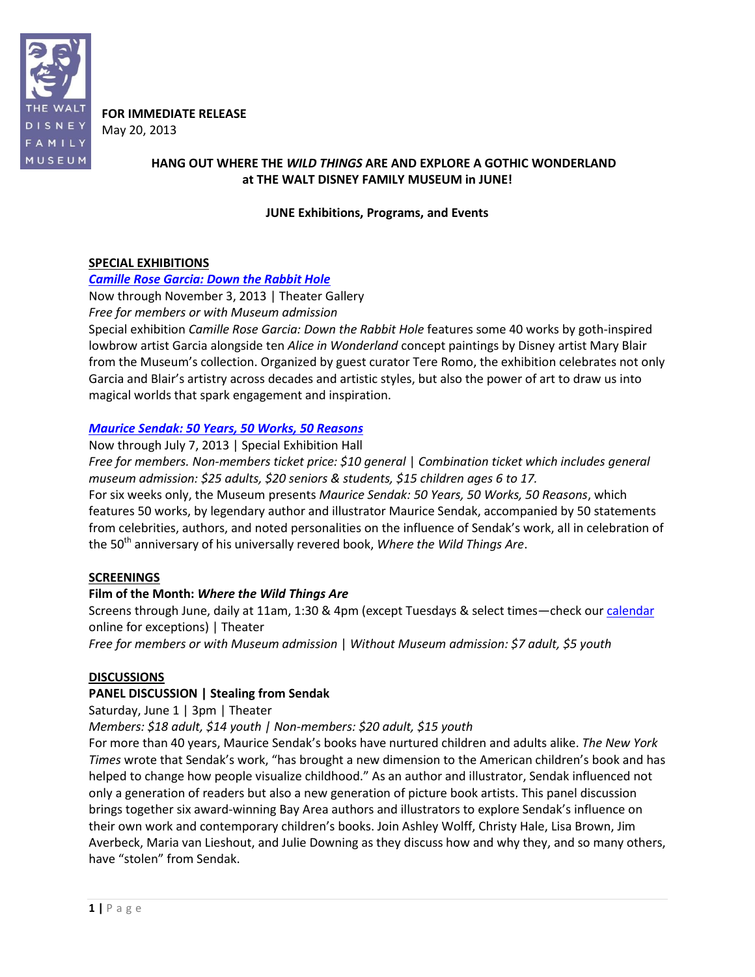

**FOR IMMEDIATE RELEASE** May 20, 2013

# **HANG OUT WHERE THE** *WILD THINGS* **ARE AND EXPLORE A GOTHIC WONDERLAND at THE WALT DISNEY FAMILY MUSEUM in JUNE!**

#### **JUNE Exhibitions, Programs, and Events**

#### **SPECIAL EXHIBITIONS**

#### *[Camille Rose Garcia: Down the Rabbit Hole](http://www.waltdisney.org/garcia)*

Now through November 3, 2013 | Theater Gallery *Free for members or with Museum admission*

Special exhibition *Camille Rose Garcia: Down the Rabbit Hole* features some 40 works by goth-inspired lowbrow artist Garcia alongside ten *Alice in Wonderland* concept paintings by Disney artist Mary Blair from the Museum's collection. Organized by guest curator Tere Romo, the exhibition celebrates not only Garcia and Blair's artistry across decades and artistic styles, but also the power of art to draw us into magical worlds that spark engagement and inspiration.

## *[Maurice Sendak: 50 Years, 50 Works, 50 Reasons](http://www.waltdisney.org/sendak)*

Now through July 7, 2013 | Special Exhibition Hall

*Free for members. Non-members ticket price: \$10 general* | *Combination ticket which includes general museum admission: \$25 adults, \$20 seniors & students, \$15 children ages 6 to 17.*

For six weeks only, the Museum presents *Maurice Sendak: 50 Years, 50 Works, 50 Reasons*, which features 50 works, by legendary author and illustrator Maurice Sendak, accompanied by 50 statements from celebrities, authors, and noted personalities on the influence of Sendak's work, all in celebration of the 50th anniversary of his universally revered book, *Where the Wild Things Are*.

## **SCREENINGS**

## **Film of the Month:** *Where the Wild Things Are*

Screens through June, daily at 11am, 1:30 & 4pm (except Tuesdays & select times—check our [calendar](http://www.waltdisney.org/calendar) online for exceptions) | Theater

*Free for members or with Museum admission* | *Without Museum admission: \$7 adult, \$5 youth*

#### **DISCUSSIONS**

## **PANEL DISCUSSION | Stealing from Sendak**

Saturday, June 1 | 3pm | Theater

*Members: \$18 adult, \$14 youth | Non-members: \$20 adult, \$15 youth*

For more than 40 years, Maurice Sendak's books have nurtured children and adults alike. *The New York Times* wrote that Sendak's work, "has brought a new dimension to the American children's book and has helped to change how people visualize childhood." As an author and illustrator, Sendak influenced not only a generation of readers but also a new generation of picture book artists. This panel discussion brings together six award-winning Bay Area authors and illustrators to explore Sendak's influence on their own work and contemporary children's books. Join Ashley Wolff, Christy Hale, Lisa Brown, Jim Averbeck, Maria van Lieshout, and Julie Downing as they discuss how and why they, and so many others, have "stolen" from Sendak.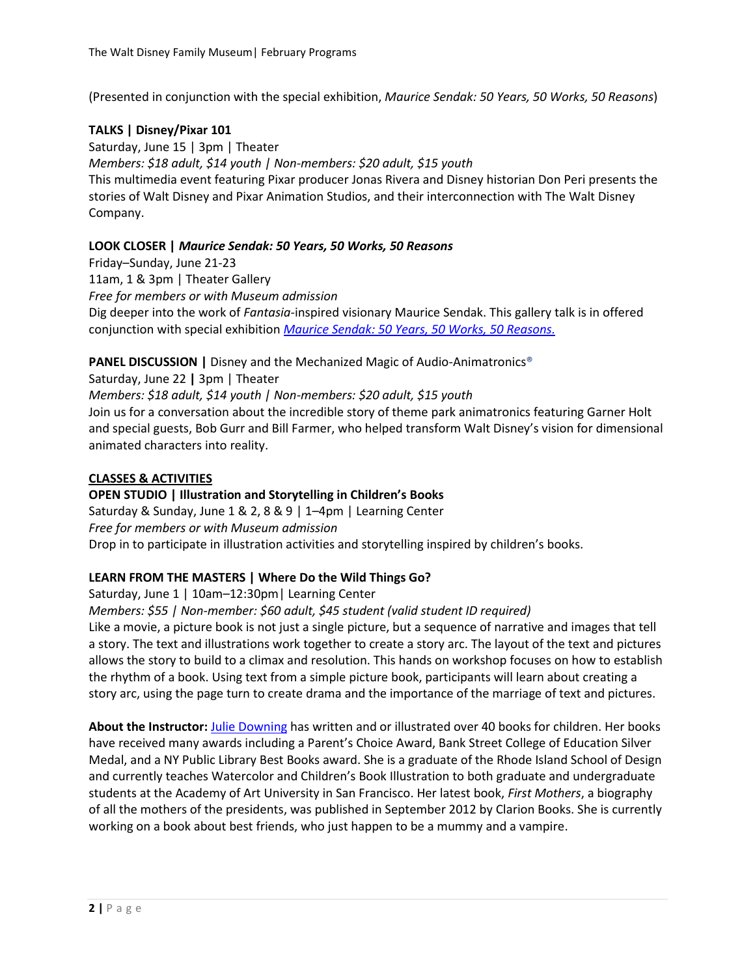(Presented in conjunction with the special exhibition, *[Maurice Sendak:](http://www.waltdisney.org/sendak) 50 Years, 50 Works, 50 Reasons*)

#### **TALKS | Disney/Pixar 101**

Saturday, June 15 | 3pm | Theater *Members: \$18 adult, \$14 youth | Non-members: \$20 adult, \$15 youth* This multimedia event featuring Pixar producer Jonas Rivera and Disney historian Don Peri presents the stories of Walt Disney and Pixar Animation Studios, and their interconnection with The Walt Disney Company.

## **LOOK CLOSER |** *Maurice Sendak: 50 Years, 50 Works, 50 Reasons*

Friday–Sunday, June 21-23 11am, 1 & 3pm | Theater Gallery *Free for members or with Museum admission* Dig deeper into the work of *Fantasia-*inspired visionary Maurice Sendak. This gallery talk is in offered conjunction with special exhibition *[Maurice Sendak: 50 Years, 50 Works, 50 Reasons.](http://www.waltdisney.org/sendak)*

**PANEL DISCUSSION |** Disney and the Mechanized Magic of Audio-Animatronics®

Saturday, June 22 **|** 3pm | Theater *Members: \$18 adult, \$14 youth | Non-members: \$20 adult, \$15 youth* Join us for a conversation about the incredible story of theme park animatronics featuring Garner Holt and special guests, Bob Gurr and Bill Farmer, who helped transform Walt Disney's vision for dimensional animated characters into reality.

#### **CLASSES & ACTIVITIES**

## **OPEN STUDIO | Illustration and Storytelling in Children's Books**

Saturday & Sunday, June 1 & 2, 8 & 9 | 1–4pm | Learning Center *Free for members or with Museum admission* Drop in to participate in illustration activities and storytelling inspired by children's books.

## **LEARN FROM THE MASTERS | Where Do the Wild Things Go?**

Saturday, June 1 | 10am–12:30pm| Learning Center

*Members: \$55 | Non-member: \$60 adult, \$45 student (valid student ID required)*

Like a movie, a picture book is not just a single picture, but a sequence of narrative and images that tell a story. The text and illustrations work together to create a story arc. The layout of the text and pictures allows the story to build to a climax and resolution. This hands on workshop focuses on how to establish the rhythm of a book. Using text from a simple picture book, participants will learn about creating a story arc, using the page turn to create drama and the importance of the marriage of text and pictures.

**About the Instructor:** [Julie Downing](http://www.juliedowning.com/) has written and or illustrated over 40 books for children. Her books have received many awards including a Parent's Choice Award, Bank Street College of Education Silver Medal, and a NY Public Library Best Books award. She is a graduate of the Rhode Island School of Design and currently teaches Watercolor and Children's Book Illustration to both graduate and undergraduate students at the Academy of Art University in San Francisco. Her latest book, *First Mothers*, a biography of all the mothers of the presidents, was published in September 2012 by Clarion Books. She is currently working on a book about best friends, who just happen to be a mummy and a vampire.